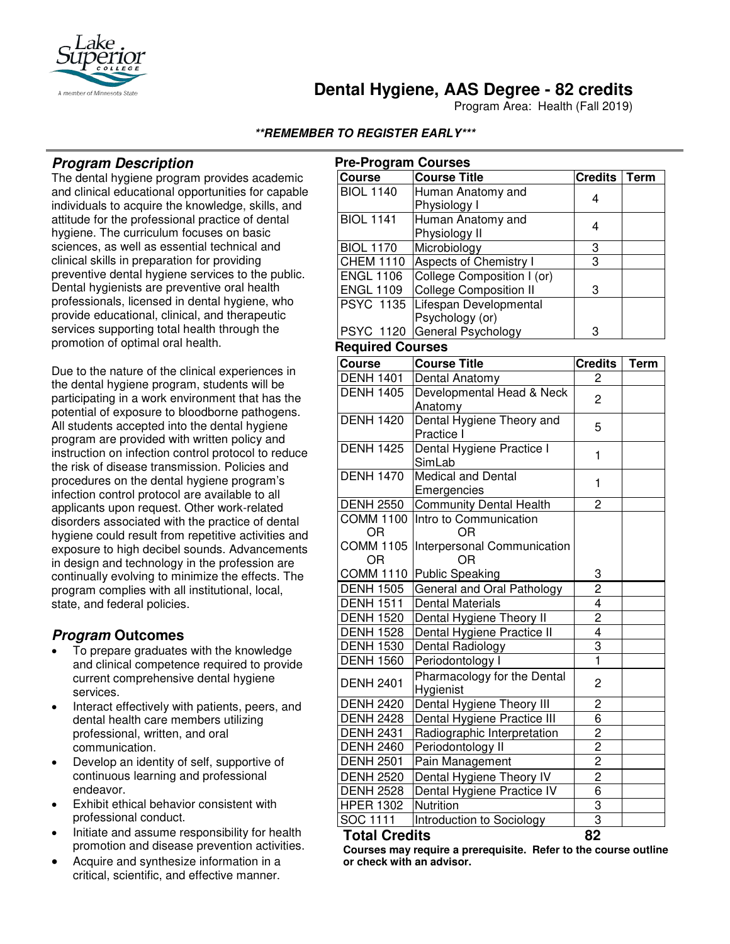

# **Dental Hygiene, AAS Degree - 82 credits**

Program Area: Health (Fall 2019)

#### **\*\*REMEMBER TO REGISTER EARLY\*\*\***

# **Program Description**

The dental hygiene program provides academic and clinical educational opportunities for capable individuals to acquire the knowledge, skills, and attitude for the professional practice of dental hygiene. The curriculum focuses on basic sciences, as well as essential technical and clinical skills in preparation for providing preventive dental hygiene services to the public. Dental hygienists are preventive oral health professionals, licensed in dental hygiene, who provide educational, clinical, and therapeutic services supporting total health through the promotion of optimal oral health.

Due to the nature of the clinical experiences in the dental hygiene program, students will be participating in a work environment that has the potential of exposure to bloodborne pathogens. All students accepted into the dental hygiene program are provided with written policy and instruction on infection control protocol to reduce the risk of disease transmission. Policies and procedures on the dental hygiene program's infection control protocol are available to all applicants upon request. Other work-related disorders associated with the practice of dental hygiene could result from repetitive activities and exposure to high decibel sounds. Advancements in design and technology in the profession are continually evolving to minimize the effects. The program complies with all institutional, local, state, and federal policies.

# **Program Outcomes**

- To prepare graduates with the knowledge and clinical competence required to provide current comprehensive dental hygiene services.
- Interact effectively with patients, peers, and dental health care members utilizing professional, written, and oral communication.
- Develop an identity of self, supportive of continuous learning and professional endeavor.
- Exhibit ethical behavior consistent with professional conduct.
- Initiate and assume responsibility for health promotion and disease prevention activities.
- Acquire and synthesize information in a critical, scientific, and effective manner.

| <b>Pre-Program Courses</b> |                                |                |             |
|----------------------------|--------------------------------|----------------|-------------|
| <b>Course</b>              | <b>Course Title</b>            | <b>Credits</b> | <b>Term</b> |
| <b>BIOL 1140</b>           | Human Anatomy and              | 4              |             |
|                            | Physiology I                   |                |             |
| <b>BIOL 1141</b>           | Human Anatomy and              | 4              |             |
|                            | Physiology II                  |                |             |
| <b>BIOL 1170</b>           | Microbiology                   | 3              |             |
| <b>CHEM 1110</b>           | <b>Aspects of Chemistry I</b>  | 3              |             |
| <b>ENGL 1106</b>           | College Composition I (or)     |                |             |
| <b>ENGL 1109</b>           | <b>College Composition II</b>  | 3              |             |
| <b>PSYC 1135</b>           | Lifespan Developmental         |                |             |
|                            | Psychology (or)                |                |             |
| <b>PSYC 1120</b>           | General Psychology             | 3              |             |
| <b>Required Courses</b>    |                                |                |             |
| <b>Course</b>              | <b>Course Title</b>            | <b>Credits</b> | <b>Term</b> |
| <b>DENH 1401</b>           | Dental Anatomy                 | 2              |             |
| <b>DENH 1405</b>           | Developmental Head & Neck      | $\overline{c}$ |             |
|                            | Anatomy                        |                |             |
| <b>DENH 1420</b>           | Dental Hygiene Theory and      | 5              |             |
|                            | Practice I                     |                |             |
| <b>DENH 1425</b>           | Dental Hygiene Practice I      | 1              |             |
|                            | SimLab                         |                |             |
| <b>DENH 1470</b>           | <b>Medical and Dental</b>      | 1              |             |
|                            | Emergencies                    |                |             |
| <b>DENH 2550</b>           | <b>Community Dental Health</b> | $\overline{2}$ |             |
| <b>COMM 1100</b>           | Intro to Communication         |                |             |
| <b>OR</b>                  | OR                             |                |             |
| <b>COMM 1105</b><br>ΟR     | Interpersonal Communication    |                |             |
|                            | OR                             |                |             |
| <b>COMM 1110</b>           | Public Speaking                | 3              |             |
| <b>DENH 1505</b>           | General and Oral Pathology     | $\overline{c}$ |             |
| <b>DENH 1511</b>           | Dental Materials               | $\overline{4}$ |             |
| <b>DENH 1520</b>           | Dental Hygiene Theory II       | $\overline{c}$ |             |
| <b>DENH 1528</b>           | Dental Hygiene Practice II     | $\overline{4}$ |             |
| <b>DENH 1530</b>           | Dental Radiology               | 3              |             |
| <b>DENH 1560</b>           | Periodontology I               | $\mathbf{1}$   |             |
| <b>DENH 2401</b>           | Pharmacology for the Dental    | $\overline{c}$ |             |
|                            | Hygienist                      |                |             |
| <b>DENH 2420</b>           | Dental Hygiene Theory III      | 2              |             |
| <b>DENH 2428</b>           | Dental Hygiene Practice III    | 6              |             |
| <b>DENH 2431</b>           | Radiographic Interpretation    | $\overline{c}$ |             |
| <b>DENH 2460</b>           | Periodontology II              | $\overline{c}$ |             |
| <b>DENH 2501</b>           | Pain Management                | $\overline{2}$ |             |
| <b>DENH 2520</b>           | Dental Hygiene Theory IV       | 2              |             |
| <b>DENH 2528</b>           | Dental Hygiene Practice IV     | 6              |             |
| <b>HPER 1302</b>           | Nutrition                      | 3              |             |
| SOC 1111                   | Introduction to Sociology      | 3              |             |

#### **Total Credits 82**

**Courses may require a prerequisite. Refer to the course outline or check with an advisor.**